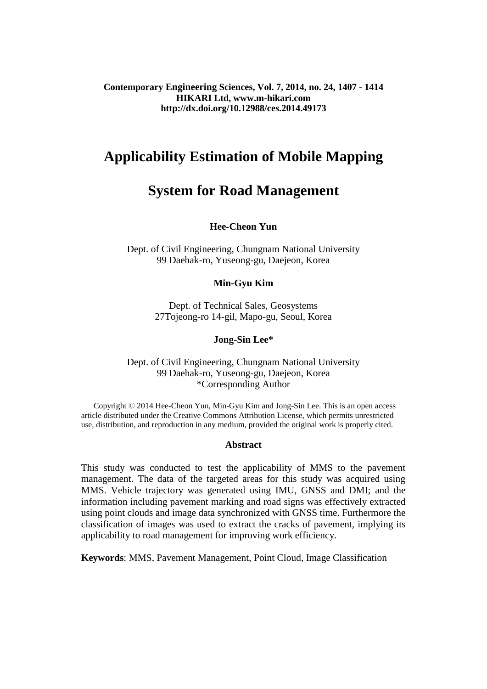**Contemporary Engineering Sciences, Vol. 7, 2014, no. 24, 1407 - 1414 HIKARI Ltd, www.m-hikari.com http://dx.doi.org/10.12988/ces.2014.49173**

# **Applicability Estimation of Mobile Mapping**

# **System for Road Management**

### **Hee-Cheon Yun**

Dept. of Civil Engineering, Chungnam National University 99 Daehak-ro, Yuseong-gu, Daejeon, Korea

### **Min-Gyu Kim**

Dept. of Technical Sales, Geosystems 27Tojeong-ro 14-gil, Mapo-gu, Seoul, Korea

#### **Jong-Sin Lee\***

### Dept. of Civil Engineering, Chungnam National University 99 Daehak-ro, Yuseong-gu, Daejeon, Korea \*Corresponding Author

 Copyright © 2014 Hee-Cheon Yun, Min-Gyu Kim and Jong-Sin Lee. This is an open access article distributed under the Creative Commons Attribution License, which permits unrestricted use, distribution, and reproduction in any medium, provided the original work is properly cited.

#### **Abstract**

This study was conducted to test the applicability of MMS to the pavement management. The data of the targeted areas for this study was acquired using MMS. Vehicle trajectory was generated using IMU, GNSS and DMI; and the information including pavement marking and road signs was effectively extracted using point clouds and image data synchronized with GNSS time. Furthermore the classification of images was used to extract the cracks of pavement, implying its applicability to road management for improving work efficiency.

**Keywords**: MMS, Pavement Management, Point Cloud, Image Classification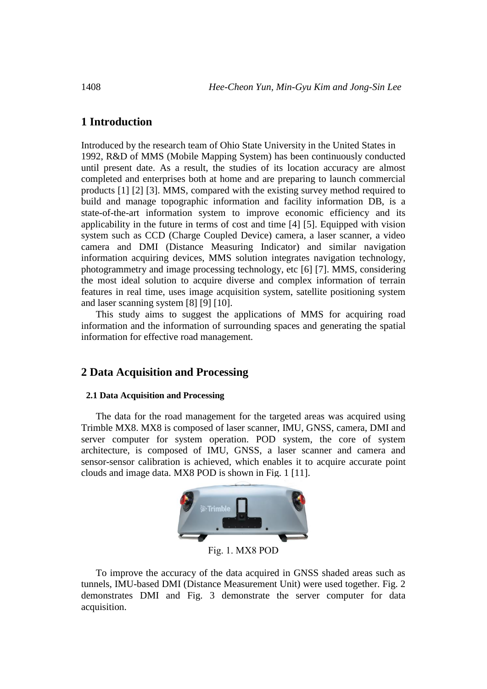# **1 Introduction**

Introduced by the research team of Ohio State University in the United States in 1992, R&D of MMS (Mobile Mapping System) has been continuously conducted until present date. As a result, the studies of its location accuracy are almost completed and enterprises both at home and are preparing to launch commercial products [1] [2] [3]. MMS, compared with the existing survey method required to build and manage topographic information and facility information DB, is a state-of-the-art information system to improve economic efficiency and its applicability in the future in terms of cost and time [4] [5]. Equipped with vision system such as CCD (Charge Coupled Device) camera, a laser scanner, a video camera and DMI (Distance Measuring Indicator) and similar navigation information acquiring devices, MMS solution integrates navigation technology, photogrammetry and image processing technology, etc [6] [7]. MMS, considering the most ideal solution to acquire diverse and complex information of terrain features in real time, uses image acquisition system, satellite positioning system and laser scanning system [8] [9] [10].

This study aims to suggest the applications of MMS for acquiring road information and the information of surrounding spaces and generating the spatial information for effective road management.

## **2 Data Acquisition and Processing**

#### **2.1 Data Acquisition and Processing**

The data for the road management for the targeted areas was acquired using Trimble MX8. MX8 is composed of laser scanner, IMU, GNSS, camera, DMI and server computer for system operation. POD system, the core of system architecture, is composed of IMU, GNSS, a laser scanner and camera and sensor-sensor calibration is achieved, which enables it to acquire accurate point clouds and image data. MX8 POD is shown in Fig. 1 [11].



Fig. 1. MX8 POD

To improve the accuracy of the data acquired in GNSS shaded areas such as tunnels, IMU-based DMI (Distance Measurement Unit) were used together. Fig. 2 demonstrates DMI and Fig. 3 demonstrate the server computer for data acquisition.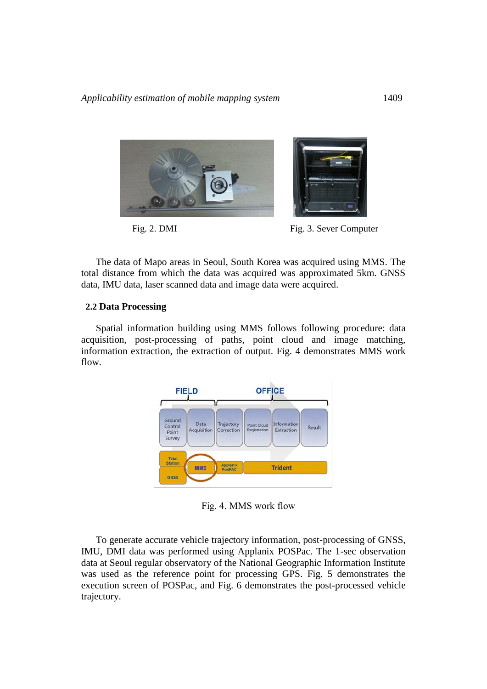*Applicability estimation of mobile mapping system* 1409



The data of Mapo areas in Seoul, South Korea was acquired using MMS. The total distance from which the data was acquired was approximated 5km. GNSS data, IMU data, laser scanned data and image data were acquired.

#### **2.2 Data Processing**

Spatial information building using MMS follows following procedure: data acquisition, post-processing of paths, point cloud and image matching, information extraction, the extraction of output. Fig. 4 demonstrates MMS work flow.



Fig. 4. MMS work flow

To generate accurate vehicle trajectory information, post-processing of GNSS, IMU, DMI data was performed using Applanix POSPac. The 1-sec observation data at Seoul regular observatory of the National Geographic Information Institute was used as the reference point for processing GPS. Fig. 5 demonstrates the execution screen of POSPac, and Fig. 6 demonstrates the post-processed vehicle trajectory.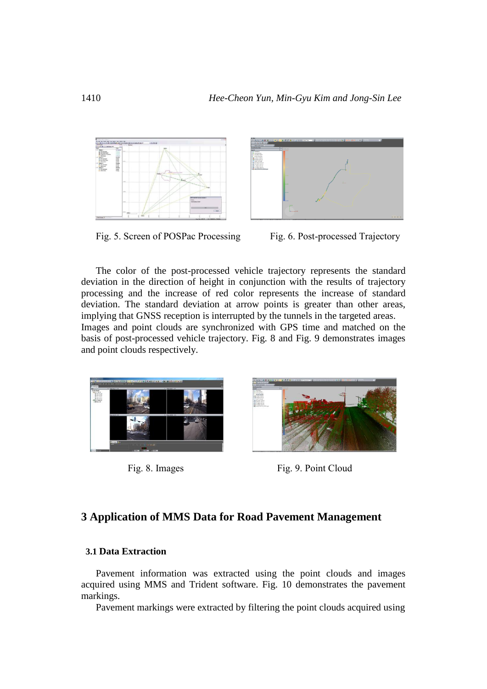

Fig. 5. Screen of POSPac Processing Fig. 6. Post-processed Trajectory



The color of the post-processed vehicle trajectory represents the standard deviation in the direction of height in conjunction with the results of trajectory processing and the increase of red color represents the increase of standard deviation. The standard deviation at arrow points is greater than other areas, implying that GNSS reception is interrupted by the tunnels in the targeted areas. Images and point clouds are synchronized with GPS time and matched on the basis of post-processed vehicle trajectory. Fig. 8 and Fig. 9 demonstrates images and point clouds respectively.





Fig. 8. Images Fig. 9. Point Cloud

# **3 Application of MMS Data for Road Pavement Management**

### **3.1 Data Extraction**

Pavement information was extracted using the point clouds and images acquired using MMS and Trident software. Fig. 10 demonstrates the pavement markings.

Pavement markings were extracted by filtering the point clouds acquired using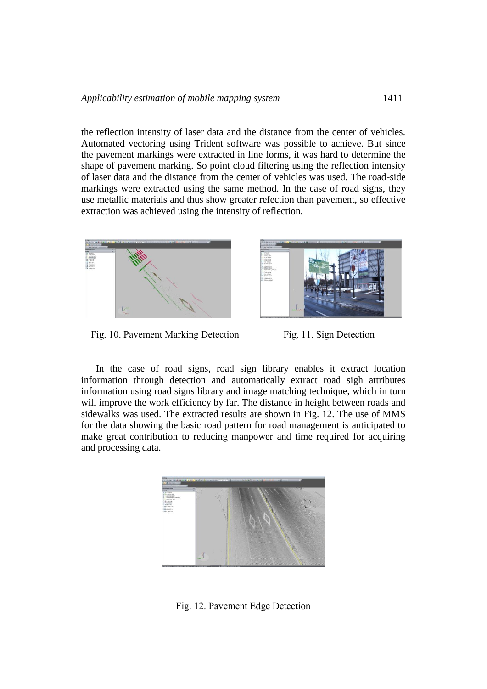the reflection intensity of laser data and the distance from the center of vehicles. Automated vectoring using Trident software was possible to achieve. But since the pavement markings were extracted in line forms, it was hard to determine the shape of pavement marking. So point cloud filtering using the reflection intensity of laser data and the distance from the center of vehicles was used. The road-side markings were extracted using the same method. In the case of road signs, they use metallic materials and thus show greater refection than pavement, so effective extraction was achieved using the intensity of reflection.





Fig. 10. Pavement Marking Detection Fig. 11. Sign Detection

In the case of road signs, road sign library enables it extract location information through detection and automatically extract road sigh attributes information using road signs library and image matching technique, which in turn will improve the work efficiency by far. The distance in height between roads and sidewalks was used. The extracted results are shown in Fig. 12. The use of MMS for the data showing the basic road pattern for road management is anticipated to make great contribution to reducing manpower and time required for acquiring and processing data.



Fig. 12. Pavement Edge Detection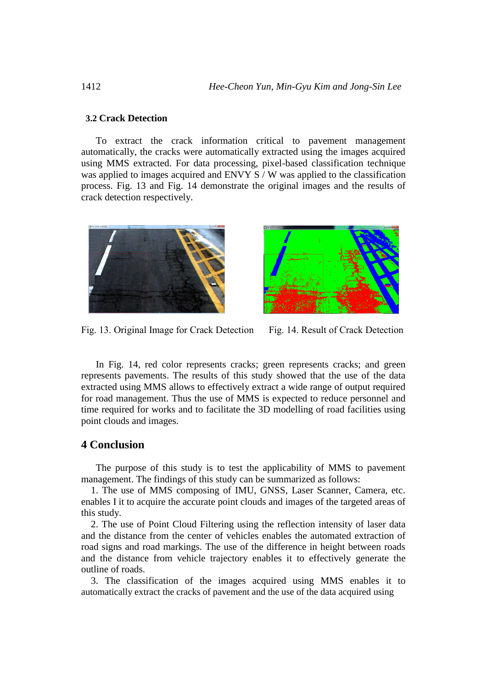### **3.2 Crack Detection**

To extract the crack information critical to pavement management automatically, the cracks were automatically extracted using the images acquired using MMS extracted. For data processing, pixel-based classification technique was applied to images acquired and ENVY S / W was applied to the classification process. Fig. 13 and Fig. 14 demonstrate the original images and the results of crack detection respectively.





Fig. 13. Original Image for Crack Detection Fig. 14. Result of Crack Detection

In Fig. 14, red color represents cracks; green represents cracks; and green represents pavements. The results of this study showed that the use of the data extracted using MMS allows to effectively extract a wide range of output required for road management. Thus the use of MMS is expected to reduce personnel and time required for works and to facilitate the 3D modelling of road facilities using point clouds and images.

## **4 Conclusion**

The purpose of this study is to test the applicability of MMS to pavement management. The findings of this study can be summarized as follows:

 1. The use of MMS composing of IMU, GNSS, Laser Scanner, Camera, etc. enables I it to acquire the accurate point clouds and images of the targeted areas of this study.

 2. The use of Point Cloud Filtering using the reflection intensity of laser data and the distance from the center of vehicles enables the automated extraction of road signs and road markings. The use of the difference in height between roads and the distance from vehicle trajectory enables it to effectively generate the outline of roads.

 3. The classification of the images acquired using MMS enables it to automatically extract the cracks of pavement and the use of the data acquired using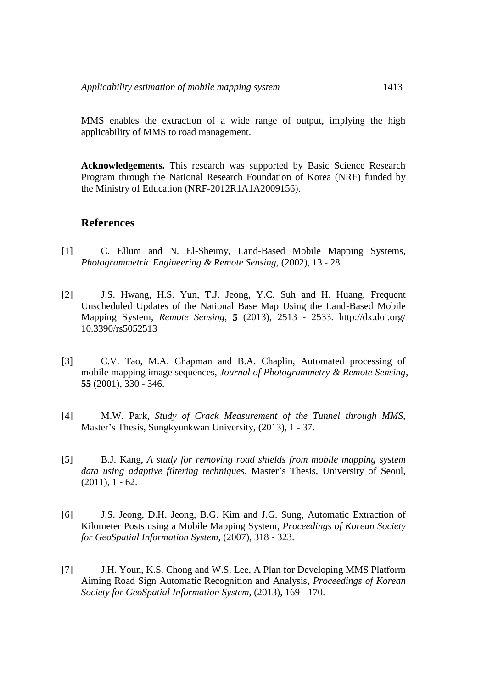MMS enables the extraction of a wide range of output, implying the high applicability of MMS to road management.

**Acknowledgements.** This research was supported by Basic Science Research Program through the National Research Foundation of Korea (NRF) funded by the Ministry of Education (NRF-2012R1A1A2009156).

## **References**

- [1] C. Ellum and N. El-Sheimy, Land-Based Mobile Mapping Systems, *Photogrammetric Engineering & Remote Sensing*, (2002), 13 - 28.
- [2] J.S. Hwang, H.S. Yun, T.J. Jeong, Y.C. Suh and H. Huang, Frequent Unscheduled Updates of the National Base Map Using the Land-Based Mobile Mapping System, *Remote Sensing*, **5** (2013), 2513 - 2533. http://dx.doi.org/ 10.3390/rs5052513
- [3] C.V. Tao, M.A. Chapman and B.A. Chaplin, Automated processing of mobile mapping image sequences, *Journal of Photogrammetry & Remote Sensing*, **55** (2001), 330 - 346.
- [4] M.W. Park, *Study of Crack Measurement of the Tunnel through MMS*, Master's Thesis, Sungkyunkwan University, (2013), 1 - 37.
- [5] B.J. Kang, *A study for removing road shields from mobile mapping system data using adaptive filtering techniques*, Master's Thesis, University of Seoul,  $(2011), 1 - 62.$
- [6] J.S. Jeong, D.H. Jeong, B.G. Kim and J.G. Sung, Automatic Extraction of Kilometer Posts using a Mobile Mapping System, *Proceedings of Korean Society for GeoSpatial Information System*, (2007), 318 - 323.
- [7] J.H. Youn, K.S. Chong and W.S. Lee, A Plan for Developing MMS Platform Aiming Road Sign Automatic Recognition and Analysis, *Proceedings of Korean Society for GeoSpatial Information System*, (2013), 169 - 170.